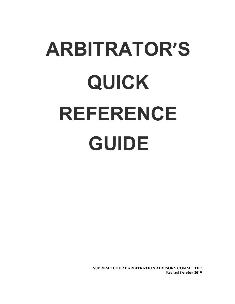# **ARBITRATOR'S QUICK REFERENCE GUIDE**

**SUPREME COURT ARBITRATION ADVISORY COMMITTEE Revised October 2019**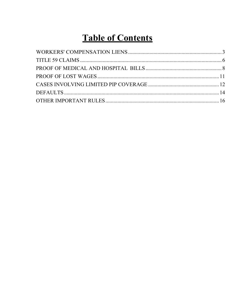# **Table of Contents**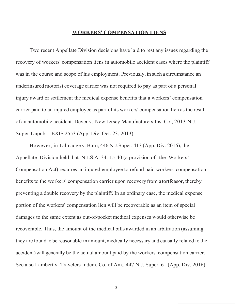### <span id="page-2-0"></span>**WORKERS' COMPENSATION LIENS**

Two recent Appellate Division decisions have laid to rest any issues regarding the recovery of workers' compensation liens in automobile accident cases where the plaintiff was in the course and scope of his employment. Previously, in such a circumstance an underinsured motorist coverage carrier was not required to pay as part of a personal injury award or settlement the medical expense benefits that a workers' compensation carrier paid to an injured employee as part of its workers' compensation lien as the result of an automobile accident. Dever v. New Jersey Manufacturers Ins. Co., 2013 N.J. Super Unpub. LEXIS 2553 (App. Div. Oct. 23, 2013).

However, in Talmadge v. Burn, 446 N.J.Super. 413 (App. Div. 2016), the Appellate Division held that N.J.S.A. 34: 15-40 (a provision of the Workers' Compensation Act) requires an injured employee to refund paid workers' compensation benefits to the workers' compensation carrier upon recovery from a tortfeasor, thereby preventing a double recovery by the plaintiff. In an ordinary case, the medical expense portion of the workers' compensation lien will be recoverable as an item of special damages to the same extent as out-of-pocket medical expenses would otherwise be recoverable. Thus, the amount of the medical bills awarded in an arbitration (assuming they are found to be reasonable in amount, medically necessary and causally related to the accident) will generally be the actual amount paid by the workers' compensation carrier. See also Lambert v. Travelers Indem. Co. of Am., 447 N.J. Super. 61 (App. Div. 2016).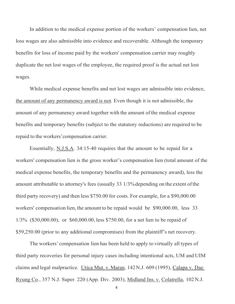In addition to the medical expense portion of the workers' compensation lien, net loss wages are also admissible into evidence and recoverable. Although the temporary benefits for loss of income paid by the workers' compensation carrier may roughly duplicate the net lost wages of the employee, the required proof is the actual net lost wages.

While medical expense benefits and net lost wages are admissible into evidence, the amount of any permanency award is not. Even though it is not admissible, the amount of any permanency award together with the amount ofthe medical expense benefits and temporary benefits (subject to the statutory reductions) are required to be repaid to the workers'compensation carrier.

Essentially, N.J.S.A. 34:15-40 requires that the amount to be repaid for a workers' compensation lien is the gross worker's compensation lien (total amount of the medical expense benefits, the temporary benefits and the permanency award), less the amount attributable to attorney's fees (usually 33 1/3%depending on the extent ofthe third party recovery) and then less \$750.00 for costs. For example, for a \$90,000.00 workers' compensation lien, the amount to be repaid would be \$90,000.00, less 33 1/3% (\$30,000.00), or \$60,000.00, less \$750.00, for a net lien to be repaid of \$59,250.00 (prior to any additional compromises) from the plaintiff's net recovery.

The workers' compensation lien has been held to apply to virtually all types of third party recoveries for personal injury cases including intentional acts, UM and UIM claims and legal malpractice. Utica Mut. v.Maran, 142N.J. 609 (1995), Calapa v. Dae Ryung Co., 357 N.J. Super. 220 (App. Div. 2003), Midland Ins. v. Colatrella, 102N.J.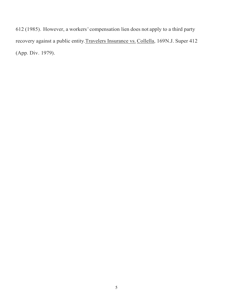612 (1985). However, a workers' compensation lien does not apply to a third party recovery against a public entity.Travelers Insurance vs. Collella, 169N.J. Super 412 (App. Div. 1979).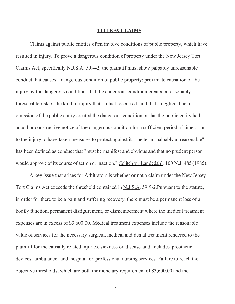### **TITLE 59 CLAIMS**

<span id="page-5-0"></span>Claims against public entities often involve conditions of public property, which have resulted in injury. To prove a dangerous condition of property under the New Jersey Tort Claims Act, specifically N.J.S.A. 59:4-2, the plaintiff must show palpably unreasonable conduct that causes a dangerous condition of public property; proximate causation of the injury by the dangerous condition; that the dangerous condition created a reasonably foreseeable risk of the kind of injury that, in fact, occurred; and that a negligent act or omission of the public entity created the dangerous condition or that the public entity had actual or constructive notice of the dangerous condition for a sufficient period of time prior to the injury to have taken measures to protect against it. The term "palpably unreasonable" has been defined as conduct that "must be manifest and obvious and that no prudent person would approve of its course of action or inaction." Colitch v. Landedahl, 100 N.J. 485 (1985).

A key issue that arises for Arbitrators is whether or not a claim under the New Jersey Tort Claims Act exceeds the threshold contained in N.J.S.A. 59:9-2.Pursuant to the statute, in order for there to be a pain and suffering recovery, there must be a permanent loss of a bodily function, permanent disfigurement, or dismemberment where the medical treatment expenses are in excess of \$3,600.00. Medical treatment expenses include the reasonable value of services for the necessary surgical, medical and dental treatment rendered to the plaintiff for the causally related injuries, sickness or disease and includes prosthetic devices, ambulance, and hospital or professional nursing services. Failure to reach the objective thresholds, which are both themonetary requirement of \$3,600.00 and the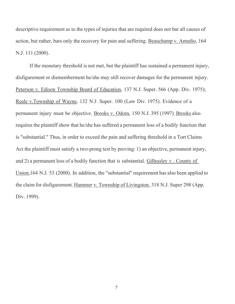descriptive requirement as to the types of injuries that are required does not bar all causes of action, but rather, bars only the recovery for pain and suffering. Beauchamp v. Amedio, 164 N.J. 111 (2000).

If the monetary threshold is not met, but the plaintiff has sustained a permanent injury, disfigurement or dismemberment he/she may still recover damages for the permanent injury. Peterson v. Edison Township Board of Education, 137 N.J. Super. 566 (App. Div. 1975); Reale v.Township of Wayne, 132 N.J. Super. 100 (Law Div. 1975). Evidence of a permanent injury must be objective. Brooks v. Odom, 150 N.J. 395 (1997). Brooks also requires the plaintiff show that he/she has suffered a permanent loss of a bodily function that is "substantial." Thus, in order to exceed the pain and suffering threshold in a Tort Claims Act the plaintiff must satisfy a two-prong test by proving: 1) an objective, permanent injury, and 2) a permanent loss of a bodily function that is substantial. Gilhooley v . County of Union,164 N.J. 53 (2000). In addition, the "substantial" requirement has also been applied to the claim for disfigurement. Hammer v. Township of Livingston, 318 N.J. Super 298 (App. Div. 1999).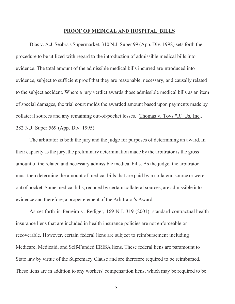### **PROOF OF MEDICAL AND HOSPITAL BILLS**

<span id="page-7-0"></span>Dias v. A.J. Seabra's Supermarket, 310 N.J. Super 99 (App. Div. 1998) sets forth the procedure to be utilized with regard to the introduction of admissible medical bills into evidence. The total amount of the admissible medical bills incurred areintroduced into evidence, subject to sufficient proof that they are reasonable, necessary, and causally related to the subject accident. Where a jury verdict awards those admissible medical bills as an item of special damages, the trial court molds the awarded amount based upon payments made by collateral sources and any remaining out-of-pocket losses. Thomas v. Toys "R" Us, Inc., 282 N.J. Super 569 (App. Div. 1995).

The arbitrator is both the jury and the judge for purposes of determining an award. In their capacity asthe jury, the preliminary determination made by the arbitrator is the gross amount of the related and necessary admissible medical bills. As the judge, the arbitrator must then determine the amount of medical bills that are paid by a collateral source or were out of pocket. Some medical bills, reduced by certain collateral sources, are admissible into evidence and therefore, a proper element of the Arbitrator's Award.

As set forth in Perreira v. Rediger, 169 N.J. 319 (2001), standard contractual health insurance liens that are included in health insurance policies are not enforceable or recoverable. However, certain federal liens are subject to reimbursement including Medicare, Medicaid, and Self-Funded ERISA liens. These federal liens are paramount to State law by virtue of the Supremacy Clause and are therefore required to be reimbursed. These liens are in addition to any workers' compensation liens, which may be required to be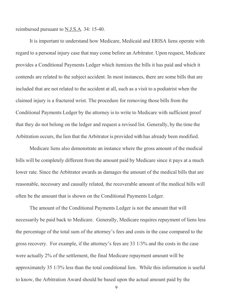reimbursed pursuant to N.J.S.A. 34: 15-40.

It is important to understand how Medicare, Medicaid and ERISA liens operate with regard to a personal injury case that may come before an Arbitrator. Upon request, Medicare provides a Conditional Payments Ledger which itemizes the bills it has paid and which it contends are related to the subject accident. In most instances, there are some bills that are included that are not related to the accident at all, such as a visit to a podiatrist when the claimed injury is a fractured wrist. The procedure for removing those bills from the Conditional Payments Ledger by the attorney is to write to Medicare with sufficient proof that they do not belong on the ledger and request a revised list. Generally, by the time the Arbitration occurs, the lien that the Arbitrator is provided with has already been modified.

Medicare liens also demonstrate an instance where the gross amount of the medical bills will be completely different from the amount paid by Medicare since it pays at a much lower rate. Since the Arbitrator awards as damages the amount of the medical bills that are reasonable, necessary and causally related, the recoverable amount of the medical bills will often be the amount that is shown on the Conditional Payments Ledger.

The amount of the Conditional Payments Ledger is not the amount that will necessarily be paid back to Medicare. Generally, Medicare requires repayment of liens less the percentage of the total sum of the attorney's fees and costs in the case compared to the gross recovery. For example, if the attorney's fees are 33 1/3% and the costs in the case were actually 2% of the settlement, the final Medicare repayment amount will be approximately 35 1/3% less than the total conditional lien. While this information is useful to know, the Arbitration Award should be based upon the actual amount paid by the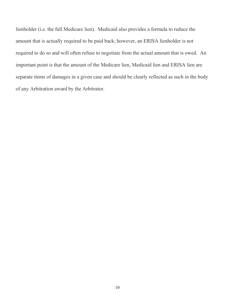lienholder (i.e. the full Medicare lien). Medicaid also provides a formula to reduce the amount that is actually required to be paid back; however, an ERISA lienholder is not required to do so and will often refuse to negotiate from the actual amount that is owed. An important point is that the amount of the Medicare lien, Medicaid lien and ERISA lien are separate items of damages in a given case and should be clearly reflected as such in the body of any Arbitration award by the Arbitrator.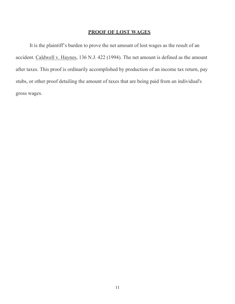### **PROOF OF LOST WAGES**

<span id="page-10-0"></span>It is the plaintiff's burden to prove the net amount of lost wages as the result of an accident. Caldwell v. Haynes, 136 N.J. 422 (1994). The net amount is defined as the amount after taxes. This proof is ordinarily accomplished by production of an income tax return, pay stubs, or other proof detailing the amount of taxes that are being paid from an individual's gross wages.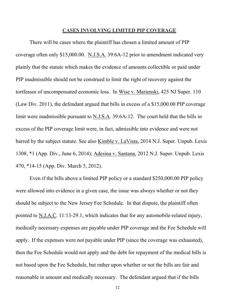### **CASES INVOLVING LIMITED PIP COVERAGE**

<span id="page-11-0"></span>There will be cases where the plaintiff has chosen a limited amount of PIP coverage often only \$15,000.00. N.J.S.A. 39:6A-12 prior to amendment indicated very plainly that the statute which makes the evidence of amounts collectible or paid under PIP inadmissible should not be construed to limit the right of recovery against the tortfeasor of uncompensated economic loss. In Wise v. Marienski, 425 NJ Super. 110 (Law Div. 2011), the defendant argued that bills in excess of a \$15,000.00 PIP coverage limit were inadmissible pursuant to N.J.S.A. 39:6A-12. The court held that the bills in excess of the PIP coverage limit were, in fact, admissible into evidence and were not barred by the subject statute. See also Kimble v. LaVista, 2014 N.J. Super. Unpub. Lexis 1308, \*1 (App. Div., June 6, 2014); Adesina v. Santana, 2012 N.J. Super. Unpub. Lexis 470, \*14-15 (App. Div. March 5, 2012).

Even if the bills above a limited PIP policy or a standard \$250,000.00 PIP policy were allowed into evidence in a given case, the issue was always whether or not they should be subject to the New Jersey Fee Schedule. In that dispute, the plaintiff often pointed to N.J.A.C. 11:13-29.1, which indicates that for any automobile-related injury, medically necessary expenses are payable under PIP coverage and the Fee Schedule will apply. If the expenses were not payable under PIP (since the coverage was exhausted), then the Fee Schedule would not apply and the debt for repayment of the medical bills is not based upon the Fee Schedule, but rather upon whether or not the bills are fair and reasonable in amount and medically necessary. The defendant argued that if the bills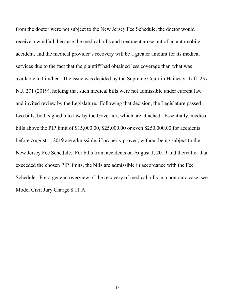from the doctor were not subject to the New Jersey Fee Schedule, the doctor would receive a windfall, because the medical bills and treatment arose out of an automobile accident, and the medical provider's recovery will be a greater amount for its medical services due to the fact that the plaintiff had obtained less coverage than what was available to him/her. The issue was decided by the Supreme Court in Haines v. Taft, 237 N.J. 271 (2019), holding that such medical bills were not admissible under current law and invited review by the Legislature. Following that decision, the Legislature passed two bills, both signed into law by the Governor, which are attached. Essentially, medical bills above the PIP limit of \$15,000.00, \$25,000.00 or even \$250,000.00 for accidents before August 1, 2019 are admissible, if properly proven, without being subject to the New Jersey Fee Schedule. For bills from accidents on August 1, 2019 and thereafter that exceeded the chosen PIP limits, the bills are admissible in accordance with the Fee Schedule. For a general overview of the recovery of medical bills in a non-auto case, see Model Civil Jury Charge 8.11 A.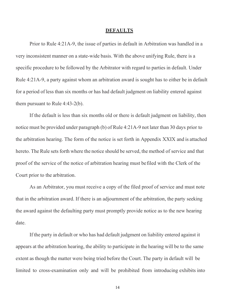### **DEFAULTS**

<span id="page-13-0"></span>Prior to Rule 4:21A-9, the issue of parties in default in Arbitration was handled in a very inconsistent manner on a state-wide basis. With the above unifying Rule, there is a specific procedure to be followed by the Arbitrator with regard to parties in default. Under Rule 4:21A-9, a party against whom an arbitration award is sought has to either be in default for a period of less than six months or has had default judgment on liability entered against them pursuant to Rule 4:43-2(b).

If the default is less than six months old or there is default judgment on liability, then notice must be provided under paragraph (b) of Rule 4:21A-9 not later than 30 days prior to the arbitration hearing. The form of the notice is set forth in Appendix XXIX and is attached hereto. The Rule sets forth where the notice should be served, the method of service and that proof of the service of the notice of arbitration hearing must befiled with the Clerk of the Court prior to the arbitration.

As an Arbitrator, you must receive a copy of the filed proof of service and must note that in the arbitration award. If there is an adjournment of the arbitration, the party seeking the award against the defaulting party must promptly provide notice as to the new hearing date.

If the party in default or who has had default judgment on liability entered against it appears at the arbitration hearing, the ability to participate in the hearing will be to the same extent as though the matter were being tried before the Court. The party in default will be limited to cross-examination only and will be prohibited from introducing exhibits into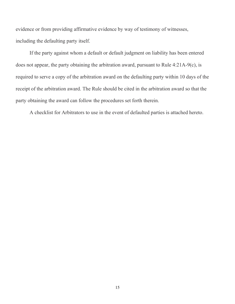evidence or from providing affirmative evidence by way of testimony of witnesses, including the defaulting party itself.

If the party against whom a default or default judgment on liability has been entered does not appear, the party obtaining the arbitration award, pursuant to Rule 4:21A-9(c), is required to serve a copy of the arbitration award on the defaulting party within 10 days of the receipt of the arbitration award. The Rule should be cited in the arbitration award so that the party obtaining the award can follow the procedures set forth therein.

A checklist for Arbitrators to use in the event of defaulted parties is attached hereto.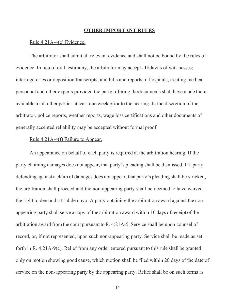### **OTHER IMPORTANT RULES**

### <span id="page-15-0"></span>Rule 4:21A-4(c) Evidence.

The arbitrator shall admit all relevant evidence and shall not be bound by the rules of evidence. In lieu of oral testimony, the arbitrator may accept affidavits of wit- nesses; interrogatories or deposition transcripts; and bills and reports of hospitals, treating medical personnel and other experts provided the party offering thedocuments shall have made them available to all other parties at least one week prior to the hearing. In the discretion of the arbitrator, police reports, weather reports, wage loss certifications and other documents of generally accepted reliability may be accepted without formal proof.

### Rule 4:21A-4(f) Failure to Appear.

An appearance on behalf of each party is required at the arbitration hearing. If the party claiming damages does not appear, that party's pleading shall be dismissed. If a party defending against a claim of damages does not appear, that party's pleading shall be stricken, the arbitration shall proceed and the non-appearing party shall be deemed to have waived the right to demand a trial de novo. A party obtaining the arbitration award against the nonappearing party shall serve a copy of the arbitration award within 10 days of receipt of the arbitration award from the court pursuant to R. 4:21A-5. Service shall be upon counsel of record, or, if not represented, upon such non-appearing party. Service shall be made as set forth in R. 4:21A-9(c). Relief from any order entered pursuant to this rule shall be granted only on motion showing good cause, which motion shall be filed within 20 days of the date of service on the non-appearing party by the appearing party. Relief shall be on such terms as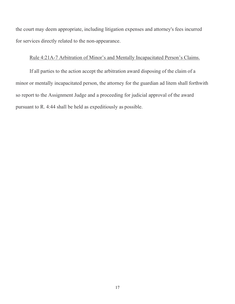the court may deem appropriate, including litigation expenses and attorney's fees incurred for services directly related to the non-appearance.

### Rule 4:21A-7 Arbitration of Minor's and Mentally Incapacitated Person's Claims.

If all parties to the action accept the arbitration award disposing of the claim of a minor or mentally incapacitated person, the attorney for the guardian ad litem shall forthwith so report to the Assignment Judge and a proceeding for judicial approval of the award pursuant to R. 4:44 shall be held as expeditiously as possible.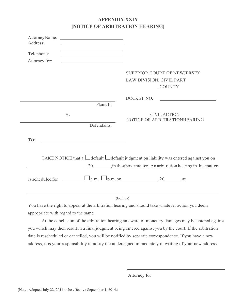## **APPENDIX XXIX [NOTICE OF ARBITRATION HEARING]**

| Attorney Name:<br><u> 1980 - Johann Barbara, martxa alemaniar a</u><br>Address:          |                                                                                                                                                                       |
|------------------------------------------------------------------------------------------|-----------------------------------------------------------------------------------------------------------------------------------------------------------------------|
| the control of the control of the control of the control of the control of<br>Telephone: |                                                                                                                                                                       |
| Attorney for:                                                                            |                                                                                                                                                                       |
|                                                                                          | SUPERIOR COURT OF NEWJERSEY                                                                                                                                           |
|                                                                                          | LAW DIVISION, CIVIL PART<br><b>COUNTY</b>                                                                                                                             |
|                                                                                          | DOCKET NO:                                                                                                                                                            |
| Plaintiff,                                                                               |                                                                                                                                                                       |
| V.<br>Defendants.                                                                        | <b>CIVIL ACTION</b><br>NOTICE OF ARBITRATIONHEARING                                                                                                                   |
| TO:                                                                                      |                                                                                                                                                                       |
|                                                                                          | TAKE NOTICE that a $\Box$ default $\Box$ default judgment on liability was entered against you on<br>20 . in the above matter. An arbitration hearing in this matter. |
|                                                                                          |                                                                                                                                                                       |
|                                                                                          | (location)                                                                                                                                                            |

You have the right to appear at the arbitration hearing and should take whatever action you deem appropriate with regard to the same.

At the conclusion of the arbitration hearing an award of monetary damages may be entered against you which may then result in a final judgment being entered against you by the court. If the arbitration date is rescheduled or cancelled, you will be notified by separate correspondence. If you have a new address, it is your responsibility to notify the undersigned immediately in writing of your new address.

Attorney for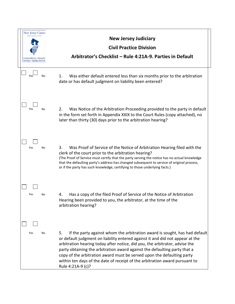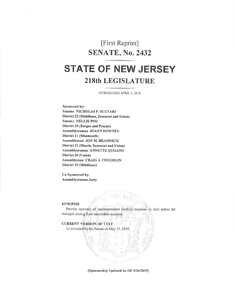# [First Reprint] **SENATE, No. 2432 STATE OF NEW JERSEY 218th LEGISLATURE**

# INTRODUCED APRIL 5, 2018

Sponsored by: Senator NICHOLAS P. SCUTARI District 22 (Middlesex, Somerset and Union) **Senator NELLIE POU District 35 (Bergen and Passaic)** Assemblywoman JOANN DOWNEY District 11 (Monmouth) Assemblyman JON M. BRAMNICK District 21 (Morris, Somerset and Union) Assemblywoman ANNETTE QUIJANO District 20 (Union) Assemblyman CRAIG J. COUGHLIN District 19 (Middlesex)

Co-Sponsored by: Assemblywoman Jasey

#### **SYNOPSIS**

Permits recovery of uncompensated medical expenses in civil action for damages arising from automobile accident.

**CURRENT VERSION OF TEXT** 

As amended by the Senate on May 13, 2019.

(Sponsorship Updated As Of: 5/24/2019)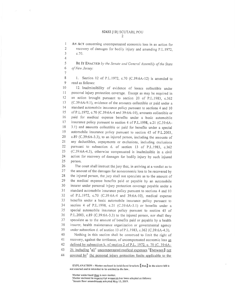AN ACT concerning uncompensated economic loss in an action for recovery of damages for bodily injury and amending P.L.1972,  $c.70.$ 

 $\mathbf{1}$  $\overline{2}$ 

 $\overline{3}$ 

 $\Delta$ 5

6

 $\overline{7}$ 

BE IT ENACTED by the Senate and General Assembly of the State of New Jersey:

8 1. Section 12 of P.L.1972, c.70 (C.39:6A-12) is amended to 9 read as follows:

10 12. Inadmissibility of evidence of losses collectible under personal injury protection coverage. Except as may be required in  $11$  $12$ an action brought pursuant to section 20 of P.L.1983. c.362 13 (C.39:6A-9.1), evidence of the amounts collectible or paid under a  $14$ standard automobile insurance policy pursuant to sections 4 and 10 15 of P.L.1972, c.70 (C.39:6A-4 and 39:6A-10), amounts collectible or 16 paid for medical expense benefits under a basic automobile insurance policy pursuant to section 4 of P.L.1998, c.21 (C.39:6A- $17$ 18 3.1) and amounts collectible or paid for benefits under a special 19 automobile insurance policy pursuant to section 45 of P.L.2003, 20 c.89 (C.39:6A-3.3), to an injured person, including the amounts of  $21$ any deductibles, copayments or exclusions, including exclusions 22 pursuant to subsection d. of section 13 of P.L.1983, c.362 23 (C.39:6A-4.3), otherwise compensated is inadmissible in a civil 24 action for recovery of damages for bodily injury by such injured 25 person.

26 The court shall instruct the jury that, in arriving at a verdict as to  $27$ the amount of the damages for noneconomic loss to be recovered by 28 the injured person, the jury shall not speculate as to the amount of 29 the medical expense benefits paid or payable by an automobile insurer under personal injury protection coverage payable under a 30 31 standard automobile insurance policy pursuant to sections 4 and 10  $32$ of P.L.1972, c.70 (C.39:6A-4 and 39:6A-10), medical expense 33 benefits under a basic automobile insurance policy pursuant to 34 section 4 of P.L.1998, c.21 (C.39:6A-3.1) or benefits under a 35 special automobile insurance policy pursuant to section 45 of 36 P.L.2003, c.89 (C.39:6A-3.3) to the injured person, nor shall they 37 speculate as to the amount of benefits paid or payable by a health insurer, health maintenance organization or governmental agency 38 39 under subsection d. of section 13 of P.L.1983, c.362 (C.39:6A-4.3). 40 Nothing in this section shall be construed to limit the right of 41 recovery, against the tortfeasor, of uncompensated economic loss as

42 defined by subsection k, of section 2 of P.L. 1972, c. 70 (C. 39:6A-

 $43$ 2), including 'all' uncompensated medical expenses '[between] not

covered by<sup>1</sup> the personal injury protection limits applicable to the 44

EXPLANATION - Matter enclosed in bold-faced brackets  $\llbracket$  thus  $\rrbracket$  in the above bill is not enacted and is intended to be omitted in the law.

Matter underlined thus is new matter.

Matter enclosed in superscript numerals has been adopted as follows: 'Senate floor amendrients adopted May 13, 2019.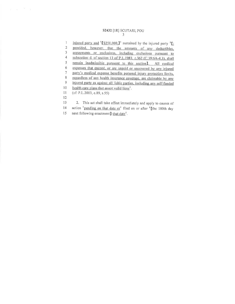#### S2432 [1R] SCUTARI, POU 3

 $c = r - \frac{2}{3} - y$ 

injured party and  $\left[$  \$250,000.<sup>1</sup> sustained by the injured party  ${}^{t}\Gamma$ .  $\mathbf{1}$  $\overline{2}$ provided, however, that the amounts of any deductibles,  $\mathfrak z$ copayments or exclusions, including exclusions pursuant to  $\sqrt{4}$ subsection d. of section 13 of P.L.1983, c.362 (C.39:6A-4.3), shall  $\sqrt{5}$ remain inadmissible pursuant to this section]. All medical  $\sqrt{6}$ expenses that exceed, or are unpaid or uncovered by any injured  $\overline{7}$ party's medical expense benefits personal injury protection limits,  $8\,$ regardless of any health insurance coverage, are claimable by any  $\boldsymbol{9}$ injured party as against all liable parties, including any self-funded  $10\,$ health care plans that assert valid liens<sup>1</sup>.  $11$  $(cf: P.L.2003, c.89, s.55)$ 12 2. This act shall take effect immediately and apply to causes of 13  $14$ action <sup>1</sup> pending on that date or<sup>1</sup> filed on or after <sup>1</sup> [the 180th day next following enactment] that date<sup>1</sup>. 15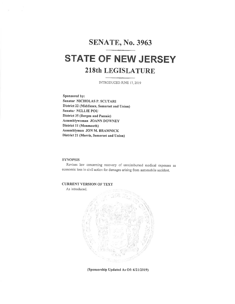# **SENATE, No. 3963**

# **STATE OF NEW JERSEY 218th LEGISLATURE**

INTRODUCED JUNE 17, 2019

Sponsored by: Senator NICHOLAS P. SCUTARI District 22 (Middlesex, Somerset and Union) Senator NELLIE POU **District 35 (Bergen and Passaic)** Assemblywoman JOANN DOWNEY District 11 (Monmouth) Assemblyman JON M. BRAMNICK District 21 (Morris, Somerset and Union)

### **SYNOPSIS**

Revises law concerning recovery of unreimbursed medical expenses as economic loss in civil action for damages arising from automobile accident.

### **CURRENT VERSION OF TEXT**

As introduced.



(Sponsorship Updated As Of: 6/21/2019)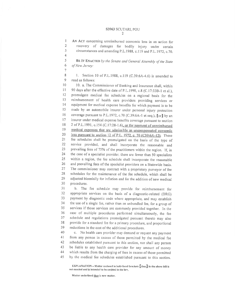#### S3963 SCUTARI, POU  $\mathcal{D}$

AN ACT concerning unreimbursed economic loss in an action for recovery of damages for bodily injury under certain circumstances and amending P.L.1988, c.119 and P.L.1972, c.70.

 $\mathbf{1}$  $\overline{2}$ 

 $\overline{3}$ 

 $\overline{4}$  $\overline{S}$ 

6

 $\overline{7}$ 

BE IT ENACTED by the Senate and General Assembly of the State of New Jersey:

 $\mathbf{8}$ 1. Section 10 of P.L.1988, c.119 (C.39:6A-4.6) is amended to  $\mathbf Q$ read as follows:

10. a. The Commissioner of Banking and Insurance shall, within  $10\,$ 90 days after the effective date of P.L.1990, c.8 (C.17:33B-1 et al.),  $11$  $12$ promulgate medical fee schedules on a regional basis for the  $13$ reimbursement of health care providers providing services or 14 equipment for medical expense benefits for which payment is to be 15 made by an automobile insurer under personal injury protection coverage pursuant to P.L.1972, c.70 (C.39:6A-1 et seq.), [or] by an 16 insurer under medical expense benefits coverage pursuant to section  $17$ 18 2 of P.L.1991, c.154 (C.17:28-1.6), or for payment of unreimbursed 19 medical expenses that are admissible as uncompensated economic 20 loss pursuant to section 12 of P.L. 1972, c. 70 (C39:6A-12). These 21 fee schedules shall be promulgated on the basis of the type of 22 service provided, and shall incorporate the reasonable and prevailing fees of 75% of the practitioners within the region. If, in 23 24 the case of a specialist provider, there are fewer than 50 specialists 25 within a region, the fee schedule shall incorporate the reasonable and prevailing fees of the specialist providers on a Statewide basis. 26 27 The commissioner may contract with a proprietary purveyor of fee 28 schedules for the maintenance of the fee schedule, which shall be 29 adjusted biennially for inflation and for the addition of new medical 30 procedures.

31 b. The fee schedule may provide for reimbursement for 32 appropriate services on the basis of a diagnostic-related (DRG) 33 payment by diagnostic code where appropriate, and may establish 34 the use of a single fee, rather than an unbundled fee, for a group of services if those services are commonly provided together. In the 35 case of multiple procedures performed simultaneously, the fee 36 37 schedule and regulations promulgated pursuant thereto may also 38 provide for a standard fee for a primary procedure, and proportional 39 reductions in the cost of the additional procedures.

40 c. No health care provider may demand or request any payment 41 from any person in excess of those permitted by the medical fee 42 schedules established pursuant to this section, nor shall any person be liable to any health care provider for any amount of money 43 44 which results from the charging of fees in excess of those permitted 45 by the medical fee schedules established pursuant to this section.

EXPLANATION - Matter enclosed in bold-faced brackets  $\llbracket$  thus  $\rrbracket$  in the above bill is not enacted and is intended to be omitted in the law.

Matter underlined thus is new matter.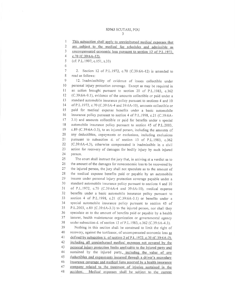#### S3963 SCUTARI, POU  $\mathfrak{Z}$

8

2. Section 12 of P.L.1972, c.70 (C.39:6A-12) is amended to read as follows:

 $\circ$ 12. Inadmissibility of evidence of losses collectible under  $10$ personal injury protection coverage. Except as may be required in  $11$ an action brought pursuant to section 20 of P.L.1983, c.362 (C.39:6A-9.1), evidence of the amounts collectible or paid under a 12 standard automobile insurance policy pursuant to sections 4 and 10 13 14 of P.L.1972, c.70 (C.39:6A-4 and 39:6A-10), amounts collectible or 15 paid for medical expense benefits under a basic automobile 16 insurance policy pursuant to section 4 of P.L.1998, c.21 (C.39:6A-3.1) and amounts collectible or paid for benefits under a special  $17$ 18 automobile insurance policy pursuant to section 45 of P.L.2003, 19 c.89 (C.39:6A-3.3), to an injured person, including the amounts of 20 any deductibles, copayments or exclusions, including exclusions  $21$ pursuant to subsection d. of section 13 of P.L.1983, c.362 22 (C.39:6A-4.3), otherwise compensated is inadmissible in a civil 23 action for recovery of damages for bodily injury by such injured 24 person.

The court shall instruct the jury that, in arriving at a verdict as to 25 26 the amount of the damages for noneconomic loss to be recovered by 27 the injured person, the jury shall not speculate as to the amount of 28 the medical expense benefits paid or payable by an automobile 29 insurer under personal injury protection coverage payable under a 30 standard automobile insurance policy pursuant to sections 4 and 10 31 of P.L.1972, c.70 (C.39:6A-4 and 39:6A-10), medical expense 32 benefits under a basic automobile insurance policy pursuant to 33 section 4 of P.L.1998, c.21 (C.39:6A-3.1) or benefits under a 34 special automobile insurance policy pursuant to section 45 of 35 P.L.2003, c.89 (C.39:6A-3.3) to the injured person, nor shall they speculate as to the amount of benefits paid or payable by a health 36 insurer, health maintenance organization or governmental agency 37 38 under subsection d. of section 13 of P.L.1983, c.362 (C.39:6A-4.3).

39 Nothing in this section shall be construed to limit the right of 40 recovery, against the tortfeasor, of uncompensated economic loss as 41 defined by subsection k, of section 2 of P.L.1972, c.70 (C.39:6A-2), including all unreimbursed medical expenses not covered by the 42 43 personal injury protection limits applicable to the injured party and sustained by the injured party, including the value of any 44 45 deductibles and copayments incurred through a driver's secondary 46 insurance coverage and medical liens asserted by a health insurance 47 company related to the treatment of injuries sustained in the Medical expenses shall be subject to the current 48 accident.

This subsection shall apply to unreimbursed medical expenses that 1

 $\overline{c}$ are subject to the medical fee schedules and admissible as

<sup>3</sup> uncompensated economic loss pursuant to section 12 of P.L.1972,

 $\overline{4}$ c.70 (C.39:6A-12).

<sup>5</sup> (cf: P.L.1997, c.151, s.33)

<sup>6</sup>  $\overline{7}$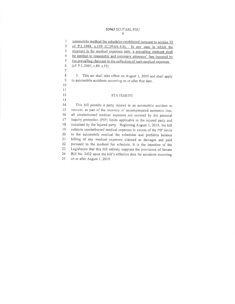#### S3963 SCUTARI, POU  $\overline{4}$

automobile medical fee schedules established pursuant to section 10 1 of P.L.1988, c.119 (C.39:6A-4.6). In any case in which the  $\overline{2}$  $\overline{3}$ recovery is for medical expenses only, a prevailing claimant shall  $\overline{4}$ be entitled to reasonable and necessary attorneys' fees incurred by the prevailing claimant in the collection of such medical expenses. 5  $\boldsymbol{6}$  $(cf: P.L.2003, c.89, s.55)$  $\overline{7}$ 8 3. This act shall take effect on August 1, 2019 and shall apply 9 to automobile accidents occurring on or after that date.  $10$  $11$ 12 **STATEMENT** 13 14 This bill permits a party injured in an automobile accident to 15 recover, as part of the recovery of uncompensated economic loss, all unreimbursed medical expenses not covered by the personal 16 inquiry protection (PIP) limits applicable to the injured party and 17 18 sustained by the injured party. Beginning August 1, 2019, the bill 19 subjects unreimbursed medical expenses in excess of the PIP limits 20 to the automobile medical fee schedules and prohibits balance  $21$ billing of any medical expenses claimed as damages and paid  $22$ pursuant to the medical fee schedule. It is the intention of the Legislature that this bill entirely supplant the provisions of Senate 23 Bill No. 2432 upon the bill's effective date for accidents occurring 24 25 on or after August 1, 2019.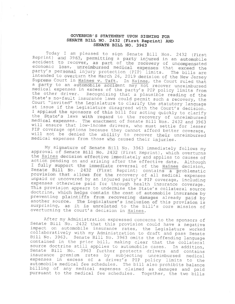### GOVERNOR'S STATEMENT UPON SIGNING FOR SENATE BILL NO. 2432 (First Reprint) AND SENATE BILL NO. 3963

Today I am pleased to sign Senate Bill Nos. 2432 (First Reprint) and 3963, permitting a party injured in an automobile<br>accident to recover, as part of the recovery of uncompensated<br>economic loss, unreimbursed medical expenses that exceed the party's personal injury protection (PIP) limits. The bills are intended to overturn the March 26, 2019 decision of the New Jersey Supreme Court in Haines v. Taft. In Haines, the Court ruled that a party to an automobile accident may not recover unreimbursed medical expenses in excess of the party's PIP policy limits from the other driver. Recognizing that a plausible reading of the State's no-fault insurance laws could permit such a recovery, the Court "invited" the Legislature to clarify the statutory language at issue if the Legislature disagreed with the Court's decision. I applaud the sponsors of this bill for acting quickly to clarify the State's laws with regard to the recovery of unreimbursed medical expenses. The enactment of Senate Bill Nos. 2432 and 3963 will ensure that low-income drivers, who must settle for lesser PIP coverage options because they cannot afford better coverage, will not be denied the ability to recover their unreimbursed medical expenses from those who caused their injuries.

My signature of Senate Bill No. 3963 immediately follows my approval of Senate Bill No. 2432 (First Reprint), which overturns the Haines decision effective immediately and applies to causes of action pending on and arising after the effective date. Although I fully support the immediate reversal of the Haines decision, (First Reprint) contains a problematic Senate Bill No. 2432 provision that allows for the recovery of all medical expenses unpaid or uncovered by an injured party's PIP coverage, including expenses otherwise paid for through health insurance coverage. This provision appears to undermine the State's collateral source doctrine, which helps contain the cost of automobile insurance by preventing plaintiffs from recovering damages already paid by another source. The Legislature's inclusion of this provision is surprising, as it is unrelated to the bill's core mission of overturning the court's decision in Haines.

After my Administration expressed concerns to the sponsors of Senate Bill No. 2432 that this provision could have a negative impact on automobile insurance rates, the Legislature worked<br>collaboratively with my Administration to draft and pass Senate Bill No. 3963. Senate Bill No. 3963 omits the offending language contained in the prior bill, making clear that the collateral source doctrine still applies to automobile cases. In addition, Senate Bill No. 3963 further protects drivers and contains insurance premium rates by subjecting unreimbursed medical<br>expenses in excess of a driver's PIP policy limits to the automobile medical fee schedules. The bill also prohibits balance billing of any medical expenses claimed as damages and paid pursuant to the medical fee schedules. Together, the two bills